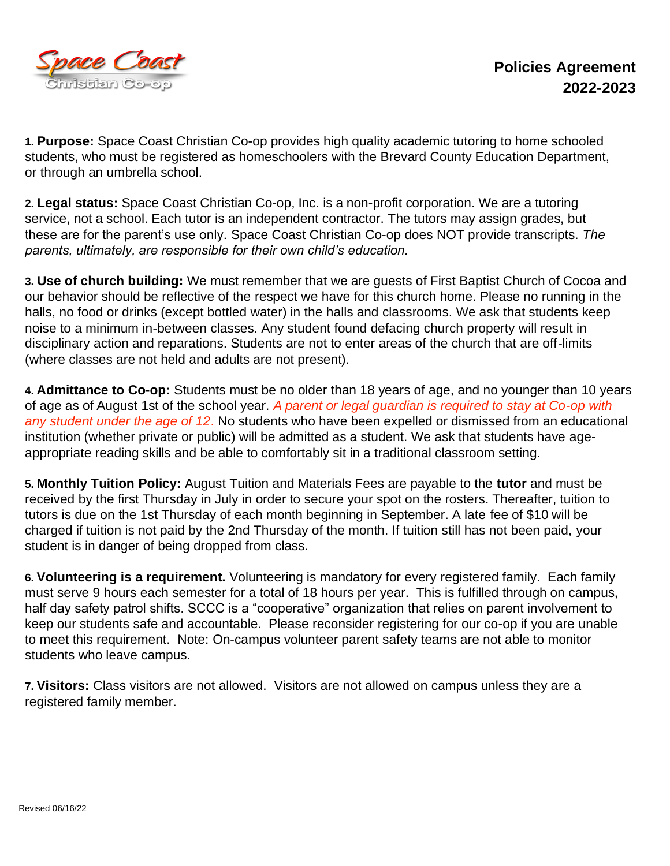

**1. Purpose:** Space Coast Christian Co-op provides high quality academic tutoring to home schooled students, who must be registered as homeschoolers with the Brevard County Education Department, or through an umbrella school.

**2. Legal status:** Space Coast Christian Co-op, Inc. is a non-profit corporation. We are a tutoring service, not a school. Each tutor is an independent contractor. The tutors may assign grades, but these are for the parent's use only. Space Coast Christian Co-op does NOT provide transcripts. *The parents, ultimately, are responsible for their own child's education.*

**3. Use of church building:** We must remember that we are guests of First Baptist Church of Cocoa and our behavior should be reflective of the respect we have for this church home. Please no running in the halls, no food or drinks (except bottled water) in the halls and classrooms. We ask that students keep noise to a minimum in-between classes. Any student found defacing church property will result in disciplinary action and reparations. Students are not to enter areas of the church that are off-limits (where classes are not held and adults are not present).

**4. Admittance to Co-op:** Students must be no older than 18 years of age, and no younger than 10 years of age as of August 1st of the school year. *A parent or legal guardian is required to stay at Co-op with any student under the age of 12*. No students who have been expelled or dismissed from an educational institution (whether private or public) will be admitted as a student. We ask that students have ageappropriate reading skills and be able to comfortably sit in a traditional classroom setting.

**5. Monthly Tuition Policy:** August Tuition and Materials Fees are payable to the **tutor** and must be received by the first Thursday in July in order to secure your spot on the rosters. Thereafter, tuition to tutors is due on the 1st Thursday of each month beginning in September. A late fee of \$10 will be charged if tuition is not paid by the 2nd Thursday of the month. If tuition still has not been paid, your student is in danger of being dropped from class.

**6. Volunteering is a requirement.** Volunteering is mandatory for every registered family. Each family must serve 9 hours each semester for a total of 18 hours per year. This is fulfilled through on campus, half day safety patrol shifts. SCCC is a "cooperative" organization that relies on parent involvement to keep our students safe and accountable. Please reconsider registering for our co-op if you are unable to meet this requirement. Note: On-campus volunteer parent safety teams are not able to monitor students who leave campus.

**7. Visitors:** Class visitors are not allowed. Visitors are not allowed on campus unless they are a registered family member.